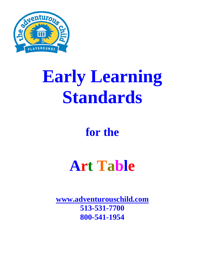

# **Early Learning Standards**

### **for the**

## **Art Table**

**[www.adventurouschild.com](http://www.adventurouschild.com/) 513-531-7700 800-541-1954**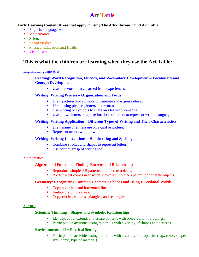#### **Art Table**

#### **Early Learning Content Areas that apply to using The Adventurous Child Art Table:**

- English/Language Arts
- **Mathematics**
- Science
- Social Studies
- **Physical Education and Health**
- **Visual Arts**

#### **This is what the children are learning when they use the Art Table:**

#### English/Language Arts

#### **Reading: Word Recognition, Fluency, and Vocabulary Development – Vocabulary and Concept Development**

Use new vocabulary learned from experiences.

#### **Writing: Writing Process – Organization and Focus**

- Draw pictures and scribble to generate and express ideas.
- Write using pictures, letters, and words.
- Use writing or symbols to share an idea with someone.
- Use known letters or approximations of letters to represent written language.

#### **Writing: Writing Application – Different Types of Writing and Their Characteristics**

- Draw name or a message on a card or picture.
- Represent action with drawing.

#### **Writing: Writing Conventions – Handwriting and Spelling**

- Combine strokes and shapes to represent letters.
- Use correct grasp of writing tool.

#### **Mathematics**

#### **Algebra and Functions: Finding Patterns and Relationships**

- Reproduce simple AB patterns of concrete objects.
- **Predict what comes next when shown a simple AB pattern of concrete objects.**

#### **Geometry: Recognizing Common Geometric Shapes and Using Directional Words**

- Copy a vertical and horizontal line.
- Imitate drawing a cross.
- Copy circles, squares, triangles, and rectangles.

#### **Science**

#### **Scientific Thinking – Shapes and Symbolic Relationships**

- Identify, copy, extend, and create patterns with objects and in drawings.
- **Participate in activities using materials with a variety of shapes and patterns.**

#### **Environments – The Physical Setting**

**Participate in activities using materials with a variety of properties (e.g., color, shape,** size, name, type of material).